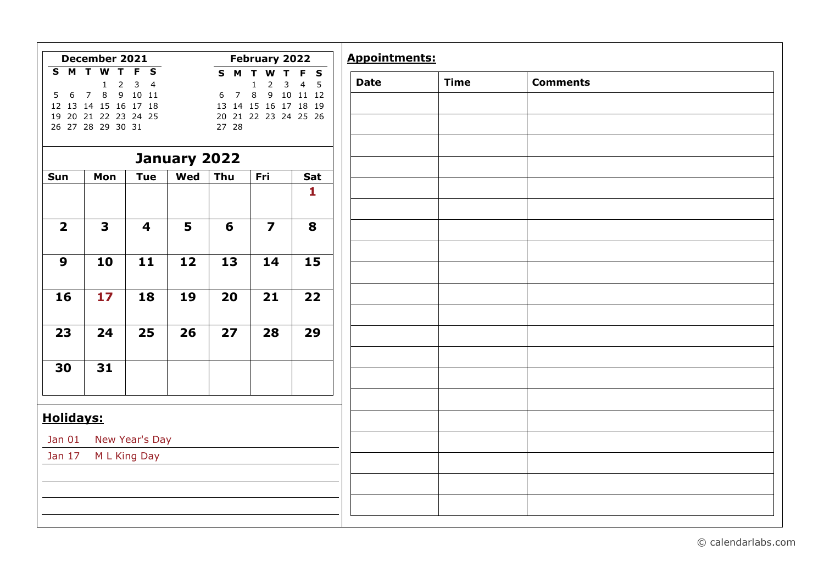|                         | December 2021                                                                                                                                            |                                                    |              |                        | February 2022                                                                                |                                                    | <b>Appointments:</b> |             |      |
|-------------------------|----------------------------------------------------------------------------------------------------------------------------------------------------------|----------------------------------------------------|--------------|------------------------|----------------------------------------------------------------------------------------------|----------------------------------------------------|----------------------|-------------|------|
| S M T W<br>6<br>5       | $\overline{\mathsf{T}}$<br>$\overline{2}$<br>$\mathbf{1}$<br>$\bf 8$<br>$7^{\circ}$<br>12 13 14 15 16 17 18<br>19 20 21 22 23 24 25<br>26 27 28 29 30 31 | F S<br>$\overline{3}$<br>$\overline{4}$<br>9 10 11 |              | S M<br>6<br>7<br>27 28 | т<br>W<br>T<br>3<br>1<br>$\overline{2}$<br>8<br>13 14 15 16 17 18 19<br>20 21 22 23 24 25 26 | F S<br>$\overline{4}$<br>$5^{\circ}$<br>9 10 11 12 | <b>Date</b>          | <b>Time</b> | Comm |
|                         |                                                                                                                                                          |                                                    | January 2022 |                        |                                                                                              |                                                    |                      |             |      |
| Sun                     | Mon                                                                                                                                                      | <b>Tue</b>                                         | Wed          | Thu                    | Fri                                                                                          | Sat                                                |                      |             |      |
|                         |                                                                                                                                                          |                                                    |              |                        |                                                                                              | 1                                                  |                      |             |      |
| $\overline{\mathbf{2}}$ | 3                                                                                                                                                        | $\overline{\mathbf{4}}$                            | 5            | 6                      | $\overline{\mathbf{z}}$                                                                      | 8                                                  |                      |             |      |
| 9                       | 10                                                                                                                                                       | 11                                                 | 12           | 13                     | 14                                                                                           | 15                                                 |                      |             |      |
| 16                      | 17                                                                                                                                                       | 18                                                 | 19           | 20                     | 21                                                                                           | 22                                                 |                      |             |      |
| 23                      | 24                                                                                                                                                       | 25                                                 | 26           | 27                     | 28                                                                                           | 29                                                 |                      |             |      |
| 30                      | 31                                                                                                                                                       |                                                    |              |                        |                                                                                              |                                                    |                      |             |      |
|                         |                                                                                                                                                          |                                                    |              |                        |                                                                                              |                                                    |                      |             |      |
| <b>Holidays:</b>        |                                                                                                                                                          |                                                    |              |                        |                                                                                              |                                                    |                      |             |      |
| Jan 01                  |                                                                                                                                                          | New Year's Day                                     |              |                        |                                                                                              |                                                    |                      |             |      |
| Jan 17                  |                                                                                                                                                          | M L King Day                                       |              |                        |                                                                                              |                                                    |                      |             |      |
|                         |                                                                                                                                                          |                                                    |              |                        |                                                                                              |                                                    |                      |             |      |
|                         |                                                                                                                                                          |                                                    |              |                        |                                                                                              |                                                    |                      |             |      |

| ppointments: |             |                 |  |
|--------------|-------------|-----------------|--|
| Date         | <b>Time</b> | <b>Comments</b> |  |
|              |             |                 |  |
|              |             |                 |  |
|              |             |                 |  |
|              |             |                 |  |
|              |             |                 |  |
|              |             |                 |  |
|              |             |                 |  |
|              |             |                 |  |
|              |             |                 |  |
|              |             |                 |  |
|              |             |                 |  |
|              |             |                 |  |
|              |             |                 |  |
|              |             |                 |  |
|              |             |                 |  |
|              |             |                 |  |
|              |             |                 |  |
|              |             |                 |  |
|              |             |                 |  |
|              |             |                 |  |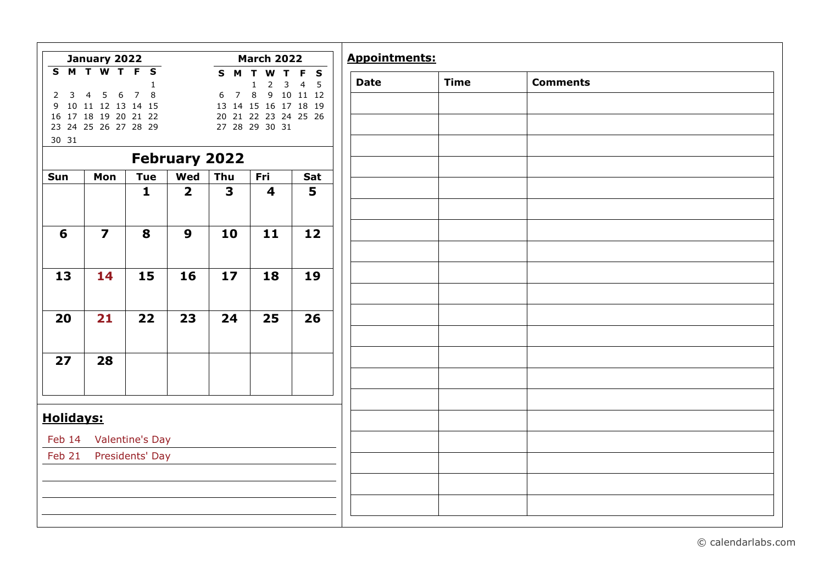| $2 \quad 3$      | S M T W T F S                                                               |                        |                         |                         | <b>March 2022</b>                            |                                           |
|------------------|-----------------------------------------------------------------------------|------------------------|-------------------------|-------------------------|----------------------------------------------|-------------------------------------------|
|                  |                                                                             | 1<br>7 8               |                         | 7 8<br>$6\overline{6}$  | S M T W T F S<br>$\mathbf 1$                 | $2 \quad 3 \quad 4 \quad 5$<br>9 10 11 12 |
|                  | $5\quad 6$<br>$\overline{4}$<br>9 10 11 12 13 14 15<br>16 17 18 19 20 21 22 |                        |                         |                         | 13 14 15 16 17 18 19<br>20 21 22 23 24 25 26 |                                           |
|                  | 23 24 25 26 27 28 29                                                        |                        |                         |                         | 27 28 29 30 31                               |                                           |
| 30 31            |                                                                             |                        |                         | <b>February 2022</b>    |                                              |                                           |
| Sun              | Mon                                                                         | <b>Tue</b>             | Wed                     | Thu                     | Fri                                          | Sat                                       |
|                  |                                                                             | $\mathbf{1}$           | $\overline{\mathbf{2}}$ | $\overline{\mathbf{3}}$ | $\overline{\mathbf{4}}$                      | 5                                         |
|                  |                                                                             |                        |                         |                         |                                              |                                           |
| 6                | $\overline{7}$                                                              | 8                      | $\boldsymbol{9}$        | 10                      | 11                                           | 12                                        |
|                  |                                                                             |                        |                         |                         |                                              |                                           |
| 13               | 14                                                                          | 15                     | 16                      | 17                      | 18                                           | 19                                        |
|                  |                                                                             |                        |                         |                         |                                              |                                           |
| 20               | 21                                                                          | 22                     | 23                      | 24                      | 25                                           | 26                                        |
|                  |                                                                             |                        |                         |                         |                                              |                                           |
| 27               | 28                                                                          |                        |                         |                         |                                              |                                           |
|                  |                                                                             |                        |                         |                         |                                              |                                           |
|                  |                                                                             |                        |                         |                         |                                              |                                           |
| <b>Holidays:</b> |                                                                             |                        |                         |                         |                                              |                                           |
| Feb 14           |                                                                             | <b>Valentine's Day</b> |                         |                         |                                              |                                           |
| Feb 21           |                                                                             | Presidents' Day        |                         |                         |                                              |                                           |
|                  |                                                                             |                        |                         |                         |                                              |                                           |
|                  |                                                                             |                        |                         |                         |                                              |                                           |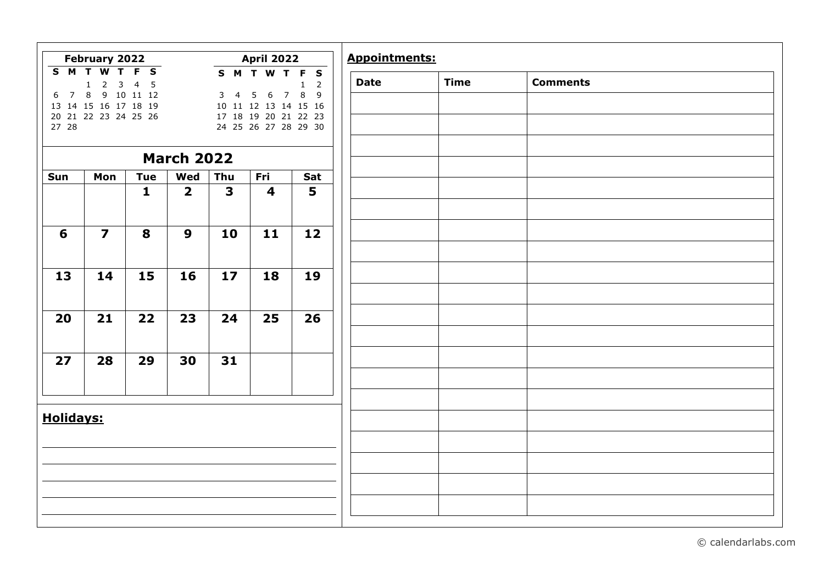|                  | <b>April 2022</b><br>February 2022                                                                                                                                                                                                                                                       |              |                         |                         |                         |             | <b>Appointments:</b> |                 |  |  |
|------------------|------------------------------------------------------------------------------------------------------------------------------------------------------------------------------------------------------------------------------------------------------------------------------------------|--------------|-------------------------|-------------------------|-------------------------|-------------|----------------------|-----------------|--|--|
| 27 28            | <b>SMTWTFS</b><br>SMTWTFS<br>$4\quad 5$<br>$1 \quad 2$<br>3 <sup>7</sup><br>$1\quad 2$<br>8 9 10 11 12<br>7 8 9<br>6 7<br>$5\phantom{.0}$<br>3 <sub>1</sub><br>6<br>13 14 15 16 17 18 19<br>10 11 12 13 14 15 16<br>17 18 19 20 21 22 23<br>20 21 22 23 24 25 26<br>24 25 26 27 28 29 30 |              |                         |                         |                         | <b>Date</b> | <b>Time</b>          | <b>Comments</b> |  |  |
|                  |                                                                                                                                                                                                                                                                                          |              | <b>March 2022</b>       |                         |                         |             |                      |                 |  |  |
| Sun              | Mon                                                                                                                                                                                                                                                                                      | <b>Tue</b>   | Wed                     | Thu                     | Fri                     | Sat         |                      |                 |  |  |
|                  |                                                                                                                                                                                                                                                                                          | $\mathbf{1}$ | $\overline{\mathbf{2}}$ | $\overline{\mathbf{3}}$ | $\overline{\mathbf{4}}$ | 5           |                      |                 |  |  |
| 6                | $\overline{\mathbf{z}}$                                                                                                                                                                                                                                                                  | 8            | 9                       | 10                      | 11                      | 12          |                      |                 |  |  |
| 13               | 14                                                                                                                                                                                                                                                                                       | 15           | 16                      | 17                      | 18                      | 19          |                      |                 |  |  |
| 20               | 21                                                                                                                                                                                                                                                                                       | 22           | 23                      | 24                      | 25                      | 26          |                      |                 |  |  |
| 27               | 28                                                                                                                                                                                                                                                                                       | 29           | 30                      | 31                      |                         |             |                      |                 |  |  |
| <b>Holidays:</b> |                                                                                                                                                                                                                                                                                          |              |                         |                         |                         |             |                      |                 |  |  |
|                  |                                                                                                                                                                                                                                                                                          |              |                         |                         |                         |             |                      |                 |  |  |
|                  |                                                                                                                                                                                                                                                                                          |              |                         |                         |                         |             |                      |                 |  |  |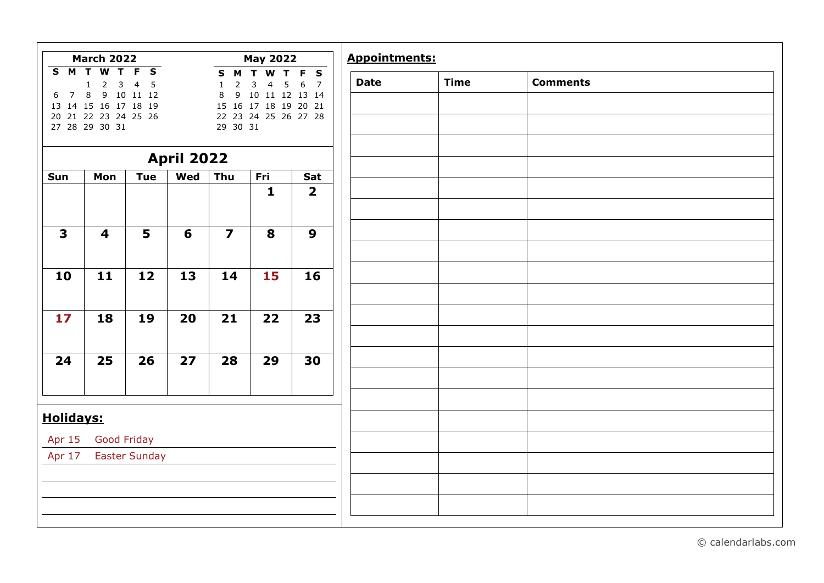|                                        | <b>March 2022</b>                                                                                                                                    |                                                                                     |                   |                                                                                              | <b>May 2022</b>                                                                                                                        |                                             | <b>Appointments:</b> |             |                 |
|----------------------------------------|------------------------------------------------------------------------------------------------------------------------------------------------------|-------------------------------------------------------------------------------------|-------------------|----------------------------------------------------------------------------------------------|----------------------------------------------------------------------------------------------------------------------------------------|---------------------------------------------|----------------------|-------------|-----------------|
| S M<br>$\overline{7}$<br>6<br>13<br>20 | $\overline{\mathbf{W}}$<br>T<br>$\mathsf{3}$<br>$\overline{2}$<br>$\mathbf{1}$<br>8<br>9<br>14 15 16 17 18 19<br>21 22 23 24 25 26<br>27 28 29 30 31 | $T$ $F$<br>$\overline{\mathbf{s}}$<br>$\overline{4}$<br>$5\phantom{.0}$<br>10 11 12 |                   | M<br>$\mathbf{s}$<br>$\overline{2}$<br>$\mathbf{1}$<br>$\,8\,$<br>9 <sup>°</sup><br>29 30 31 | $\mathbf T$<br>$\boldsymbol{\mathsf{W}}$<br>3<br>5<br>$\overline{4}$<br>10 11 12 13 14<br>15 16 17 18 19 20 21<br>22 23 24 25 26 27 28 | T F S<br>$\boldsymbol{6}$<br>$\overline{7}$ | <b>Date</b>          | <b>Time</b> | <b>Comments</b> |
|                                        |                                                                                                                                                      |                                                                                     | <b>April 2022</b> |                                                                                              |                                                                                                                                        |                                             |                      |             |                 |
| Sun                                    | Mon                                                                                                                                                  | <b>Tue</b>                                                                          | Wed               | Thu                                                                                          | Fri                                                                                                                                    | Sat                                         |                      |             |                 |
|                                        |                                                                                                                                                      |                                                                                     |                   |                                                                                              | $\mathbf{1}$                                                                                                                           | $\overline{\mathbf{2}}$                     |                      |             |                 |
| $\overline{\mathbf{3}}$                | 4                                                                                                                                                    | 5                                                                                   | 6                 | $\overline{\mathbf{z}}$                                                                      | 8                                                                                                                                      | $\boldsymbol{9}$                            |                      |             |                 |
| 10                                     | 11                                                                                                                                                   | 12                                                                                  | 13                | 14                                                                                           | 15                                                                                                                                     | 16                                          |                      |             |                 |
| 17                                     | 18                                                                                                                                                   | 19                                                                                  | 20                | 21                                                                                           | 22                                                                                                                                     | 23                                          |                      |             |                 |
|                                        |                                                                                                                                                      |                                                                                     |                   |                                                                                              |                                                                                                                                        |                                             |                      |             |                 |
| 24                                     | 25                                                                                                                                                   | 26                                                                                  | 27                | 28                                                                                           | 29                                                                                                                                     | 30                                          |                      |             |                 |
|                                        |                                                                                                                                                      |                                                                                     |                   |                                                                                              |                                                                                                                                        |                                             |                      |             |                 |
| <b>Holidays:</b>                       |                                                                                                                                                      |                                                                                     |                   |                                                                                              |                                                                                                                                        |                                             |                      |             |                 |
| Apr 15                                 | <b>Good Friday</b>                                                                                                                                   |                                                                                     |                   |                                                                                              |                                                                                                                                        |                                             |                      |             |                 |
| Apr 17                                 |                                                                                                                                                      | <b>Easter Sunday</b>                                                                |                   |                                                                                              |                                                                                                                                        |                                             |                      |             |                 |
|                                        |                                                                                                                                                      |                                                                                     |                   |                                                                                              |                                                                                                                                        |                                             |                      |             |                 |
|                                        |                                                                                                                                                      |                                                                                     |                   |                                                                                              |                                                                                                                                        |                                             |                      |             |                 |

| <b>Comments</b> | <b>Time</b> |
|-----------------|-------------|
|                 |             |
|                 |             |
|                 |             |
|                 |             |
|                 |             |
|                 |             |
|                 |             |
|                 |             |
|                 |             |
|                 |             |
|                 |             |
|                 |             |
|                 |             |
|                 |             |
|                 |             |
|                 |             |
|                 |             |
|                 |             |
|                 |             |
|                 |             |
|                 |             |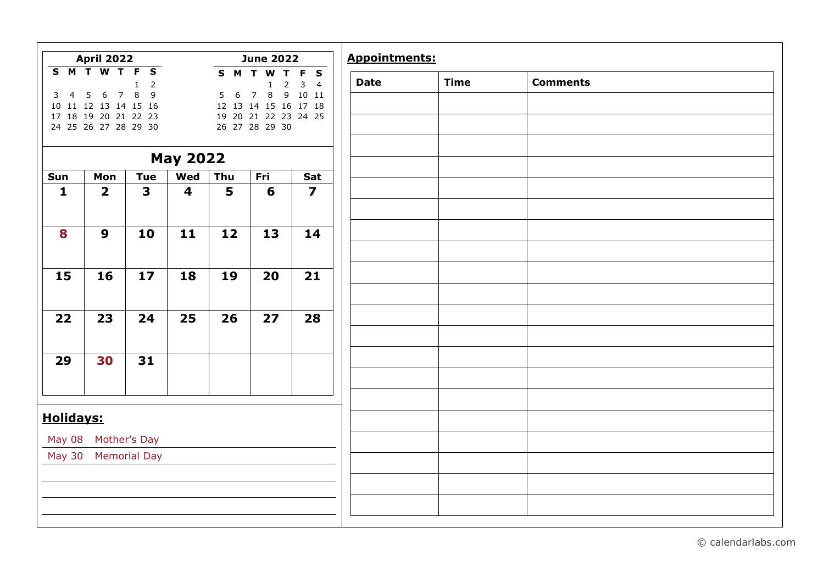|                     | <b>April 2022</b>                                              |                         |                         |                     | <b>June 2022</b>                            |                            | <b>Appointments:</b> |             |                 |  |
|---------------------|----------------------------------------------------------------|-------------------------|-------------------------|---------------------|---------------------------------------------|----------------------------|----------------------|-------------|-----------------|--|
|                     | S M T W T F S                                                  | $1 \quad 2$             |                         |                     | S M T W T<br>$\mathbf{1}$                   | F S<br>$2 \quad 3 \quad 4$ | <b>Date</b>          | <b>Time</b> | <b>Comments</b> |  |
| $\overline{4}$<br>3 | $6\overline{6}$<br>5<br>$\overline{7}$<br>10 11 12 13 14 15 16 | 8<br>$\overline{9}$     |                         | 5 <sub>1</sub><br>6 | 8<br>$\overline{7}$<br>12 13 14 15 16 17 18 | 9 10 11                    |                      |             |                 |  |
|                     | 17 18 19 20 21 22 23                                           |                         |                         |                     | 19 20 21 22 23 24 25                        |                            |                      |             |                 |  |
|                     | 24 25 26 27 28 29 30                                           |                         |                         |                     | 26 27 28 29 30                              |                            |                      |             |                 |  |
|                     |                                                                |                         |                         |                     |                                             |                            |                      |             |                 |  |
|                     |                                                                |                         | <b>May 2022</b>         |                     |                                             |                            |                      |             |                 |  |
| Sun                 | Mon                                                            | <b>Tue</b>              | Wed                     | Thu                 | Fri                                         | Sat                        |                      |             |                 |  |
| $\mathbf{1}$        | $\overline{\mathbf{2}}$                                        | $\overline{\mathbf{3}}$ | $\overline{\mathbf{4}}$ | 5                   | 6                                           | $\overline{\mathbf{z}}$    |                      |             |                 |  |
|                     |                                                                |                         |                         |                     |                                             |                            |                      |             |                 |  |
| 8                   | $\boldsymbol{9}$                                               | 10                      | 11                      | 12                  | 13                                          | 14                         |                      |             |                 |  |
|                     |                                                                |                         |                         |                     |                                             |                            |                      |             |                 |  |
| 15                  | 16                                                             | 17                      | 18                      | 19                  | 20                                          | 21                         |                      |             |                 |  |
|                     |                                                                |                         |                         |                     |                                             |                            |                      |             |                 |  |
| 22                  | 23                                                             | 24                      | 25                      | 26                  | 27                                          | 28                         |                      |             |                 |  |
|                     |                                                                |                         |                         |                     |                                             |                            |                      |             |                 |  |
| 29                  | 30                                                             | 31                      |                         |                     |                                             |                            |                      |             |                 |  |
|                     |                                                                |                         |                         |                     |                                             |                            |                      |             |                 |  |
|                     |                                                                |                         |                         |                     |                                             |                            |                      |             |                 |  |
| <b>Holidays:</b>    |                                                                |                         |                         |                     |                                             |                            |                      |             |                 |  |
|                     | May 08 Mother's Day                                            |                         |                         |                     |                                             |                            |                      |             |                 |  |
| <b>May 30</b>       |                                                                | <b>Memorial Day</b>     |                         |                     |                                             |                            |                      |             |                 |  |
|                     |                                                                |                         |                         |                     |                                             |                            |                      |             |                 |  |
|                     |                                                                |                         |                         |                     |                                             |                            |                      |             |                 |  |
|                     |                                                                |                         |                         |                     |                                             |                            |                      |             |                 |  |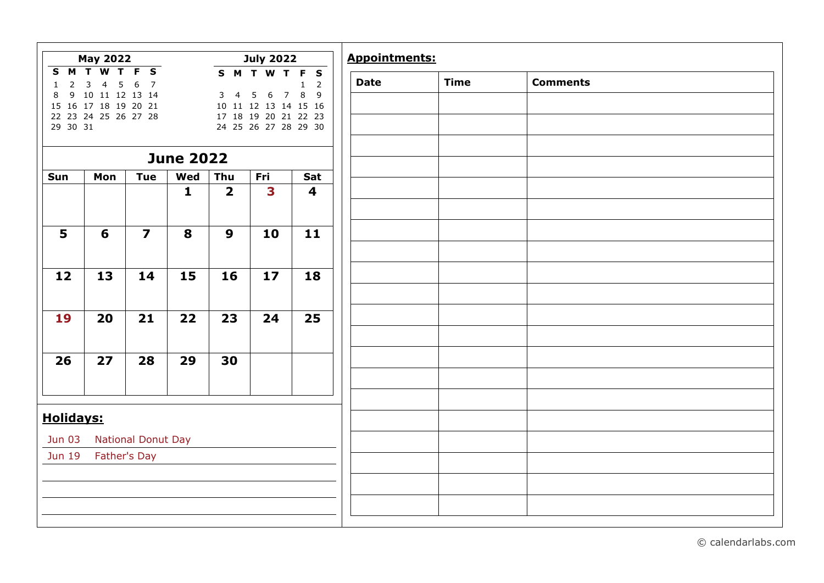|                               | <b>May 2022</b>                                                                                                                                                                                                                                                                                             |                           |                  |                         | <b>July 2022</b> |                         | <b>Appointments:</b> |  |  |  |
|-------------------------------|-------------------------------------------------------------------------------------------------------------------------------------------------------------------------------------------------------------------------------------------------------------------------------------------------------------|---------------------------|------------------|-------------------------|------------------|-------------------------|----------------------|--|--|--|
| $\mathbf{1}$<br>8<br>29 30 31 | <b>SMTWTFS</b><br>S M T W T F S<br>6<br>$\overline{7}$<br>$\overline{4}$<br>$5\phantom{.0}$<br>$2^{\circ}$<br>3<br>$1\quad 2$<br>6 7 8 9<br>9 10 11 12 13 14<br>5<br>3 <sub>4</sub><br>15 16 17 18 19 20 21<br>10 11 12 13 14 15 16<br>22 23 24 25 26 27 28<br>17 18 19 20 21 22 23<br>24 25 26 27 28 29 30 |                           | <b>Date</b>      | <b>Time</b>             | <b>Comments</b>  |                         |                      |  |  |  |
|                               |                                                                                                                                                                                                                                                                                                             |                           | <b>June 2022</b> |                         |                  |                         |                      |  |  |  |
| Sun                           | Mon                                                                                                                                                                                                                                                                                                         | <b>Tue</b>                | Wed              | Thu                     | Fri              | Sat                     |                      |  |  |  |
|                               |                                                                                                                                                                                                                                                                                                             |                           | $\mathbf{1}$     | $\overline{\mathbf{2}}$ | 3                | $\overline{\mathbf{4}}$ |                      |  |  |  |
| 5                             | 6                                                                                                                                                                                                                                                                                                           | $\overline{\mathbf{z}}$   | 8                | $\boldsymbol{9}$        | 10               | 11                      |                      |  |  |  |
|                               |                                                                                                                                                                                                                                                                                                             |                           |                  |                         |                  |                         |                      |  |  |  |
| 12                            | 13                                                                                                                                                                                                                                                                                                          | 14                        | 15               | 16                      | 17               | 18                      |                      |  |  |  |
| 19                            | 20                                                                                                                                                                                                                                                                                                          | 21                        | 22               | 23                      | 24               | 25                      |                      |  |  |  |
| 26                            | 27                                                                                                                                                                                                                                                                                                          | 28                        | 29               | 30                      |                  |                         |                      |  |  |  |
|                               |                                                                                                                                                                                                                                                                                                             |                           |                  |                         |                  |                         |                      |  |  |  |
| <b>Holidays:</b>              |                                                                                                                                                                                                                                                                                                             |                           |                  |                         |                  |                         |                      |  |  |  |
| <b>Jun 03</b>                 |                                                                                                                                                                                                                                                                                                             | <b>National Donut Day</b> |                  |                         |                  |                         |                      |  |  |  |
| Jun 19                        |                                                                                                                                                                                                                                                                                                             | Father's Day              |                  |                         |                  |                         |                      |  |  |  |
|                               |                                                                                                                                                                                                                                                                                                             |                           |                  |                         |                  |                         |                      |  |  |  |
|                               |                                                                                                                                                                                                                                                                                                             |                           |                  |                         |                  |                         |                      |  |  |  |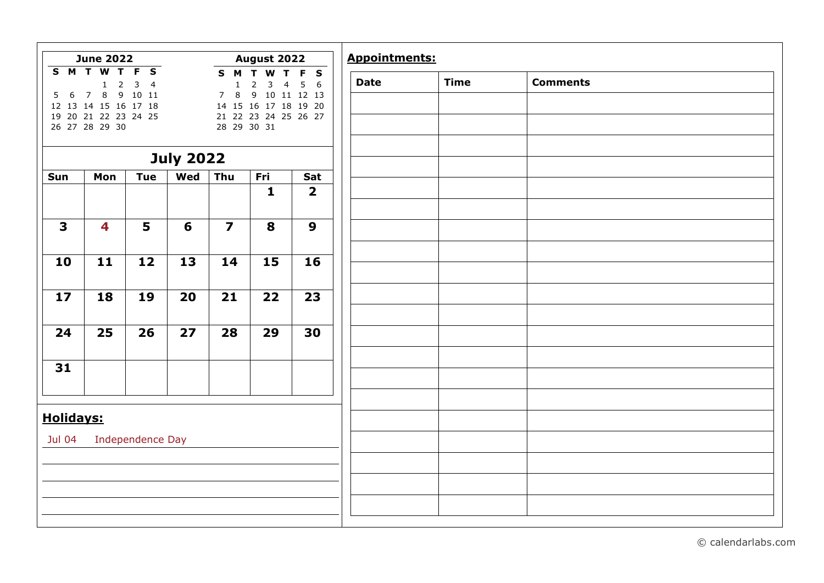|                       | <b>June 2022</b>                                                                                                                                      |                                                      |                  |                                                                 | August 2022                                                                                                                 |                                    | <b>Appointments:</b> |             |         |
|-----------------------|-------------------------------------------------------------------------------------------------------------------------------------------------------|------------------------------------------------------|------------------|-----------------------------------------------------------------|-----------------------------------------------------------------------------------------------------------------------------|------------------------------------|----------------------|-------------|---------|
| S M T<br>6<br>5<br>19 | $\overline{\mathbf{w}}$<br>$\overline{2}$<br>$\mathbf{1}$<br>$\,8\,$<br>$\overline{7}$<br>12 13 14 15 16 17 18<br>20 21 22 23 24 25<br>26 27 28 29 30 | T F S<br>$\overline{3}$<br>$\overline{4}$<br>9 10 11 |                  | S M<br>$\mathbf{1}$<br>$\,8\,$<br>$\overline{7}$<br>28 29 30 31 | W<br>$\mathbf T$<br>$\overline{2}$<br>3<br>$\overline{4}$<br>9 <sub>o</sub><br>14 15 16 17 18 19 20<br>21 22 23 24 25 26 27 | T F S<br>$5\quad 6$<br>10 11 12 13 | <b>Date</b>          | <b>Time</b> | Comment |
|                       |                                                                                                                                                       |                                                      | <b>July 2022</b> |                                                                 |                                                                                                                             |                                    |                      |             |         |
| Sun                   | Mon                                                                                                                                                   | <b>Tue</b>                                           | Wed              | Thu                                                             | Fri                                                                                                                         | Sat                                |                      |             |         |
|                       |                                                                                                                                                       |                                                      |                  |                                                                 | $\mathbf{1}$                                                                                                                | $\overline{\mathbf{2}}$            |                      |             |         |
| 3                     | 4                                                                                                                                                     | 5                                                    | 6                | $\overline{\mathbf{z}}$                                         | 8                                                                                                                           | $\boldsymbol{9}$                   |                      |             |         |
| 10                    | 11                                                                                                                                                    | 12                                                   | 13               | 14                                                              | 15                                                                                                                          | 16                                 |                      |             |         |
| 17                    | 18                                                                                                                                                    | 19                                                   | 20               | 21                                                              | 22                                                                                                                          | 23                                 |                      |             |         |
| 24                    | 25                                                                                                                                                    | 26                                                   | 27               | 28                                                              | 29                                                                                                                          | 30                                 |                      |             |         |
| 31                    |                                                                                                                                                       |                                                      |                  |                                                                 |                                                                                                                             |                                    |                      |             |         |
|                       |                                                                                                                                                       |                                                      |                  |                                                                 |                                                                                                                             |                                    |                      |             |         |
| <b>Holidays:</b>      |                                                                                                                                                       |                                                      |                  |                                                                 |                                                                                                                             |                                    |                      |             |         |
| Jul 04                |                                                                                                                                                       | Independence Day                                     |                  |                                                                 |                                                                                                                             |                                    |                      |             |         |
|                       |                                                                                                                                                       |                                                      |                  |                                                                 |                                                                                                                             |                                    |                      |             |         |
|                       |                                                                                                                                                       |                                                      |                  |                                                                 |                                                                                                                             |                                    |                      |             |         |
|                       |                                                                                                                                                       |                                                      |                  |                                                                 |                                                                                                                             |                                    |                      |             |         |

**Date Time Comments**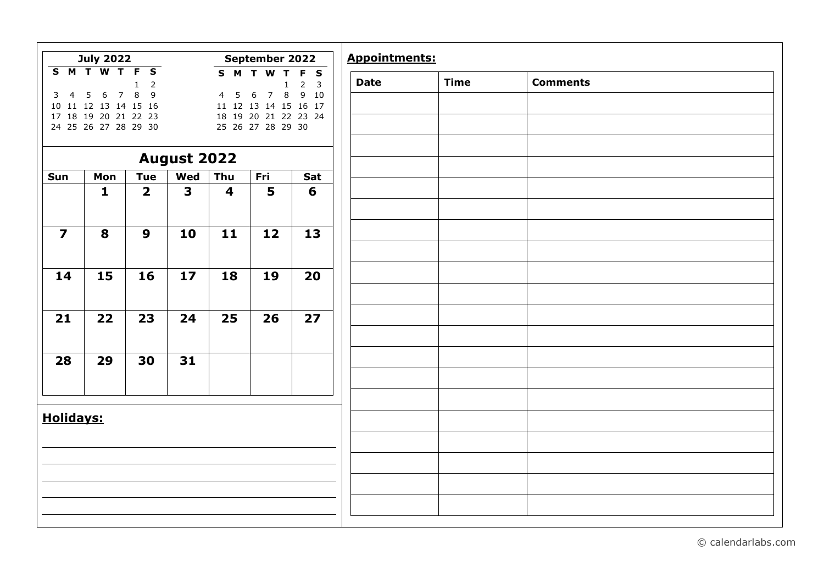|                         | <b>July 2022</b>                                 |                                |                         |                         | September 2022                                         |                                       |
|-------------------------|--------------------------------------------------|--------------------------------|-------------------------|-------------------------|--------------------------------------------------------|---------------------------------------|
|                         | <b>SMTWTFS</b>                                   | $\overline{2}$<br>$\mathbf{1}$ |                         |                         | S M T W T                                              | F S<br>2 <sup>3</sup><br>$\mathbf{1}$ |
| 3 <sub>4</sub>          | 5<br>6<br>$\overline{7}$<br>10 11 12 13 14 15 16 | $\,8\,$<br>9                   |                         | 5<br>$\overline{4}$     | $\,8\,$<br>6<br>$\overline{7}$<br>11 12 13 14 15 16 17 | 9 10                                  |
|                         | 17 18 19 20 21 22 23                             |                                |                         |                         | 18 19 20 21 22 23 24                                   |                                       |
|                         | 24 25 26 27 28 29 30                             |                                |                         |                         | 25 26 27 28 29 30                                      |                                       |
|                         |                                                  |                                |                         |                         |                                                        |                                       |
|                         |                                                  |                                | <b>August 2022</b>      |                         |                                                        |                                       |
| Sun                     | Mon                                              | <b>Tue</b>                     | Wed                     | Thu                     | Fri                                                    | Sat                                   |
|                         | $\mathbf{1}$                                     | $\overline{\mathbf{2}}$        | $\overline{\mathbf{3}}$ | $\overline{\mathbf{4}}$ | 5                                                      | 6                                     |
|                         |                                                  |                                |                         |                         |                                                        |                                       |
| $\overline{\mathbf{z}}$ | 8                                                | $\mathbf{9}$                   | 10                      | 11                      | 12                                                     | 13                                    |
|                         |                                                  |                                |                         |                         |                                                        |                                       |
|                         |                                                  |                                |                         |                         |                                                        |                                       |
| 14                      | 15                                               | 16                             | 17                      | 18                      | 19                                                     | 20                                    |
|                         |                                                  |                                |                         |                         |                                                        |                                       |
|                         |                                                  |                                |                         |                         |                                                        |                                       |
| 21                      | $\overline{22}$                                  | 23                             | 24                      | $\overline{25}$         | 26                                                     | 27                                    |
|                         |                                                  |                                |                         |                         |                                                        |                                       |
| 28                      | 29                                               | 30                             | 31                      |                         |                                                        |                                       |
|                         |                                                  |                                |                         |                         |                                                        |                                       |
|                         |                                                  |                                |                         |                         |                                                        |                                       |
|                         |                                                  |                                |                         |                         |                                                        |                                       |
| <b>Holidays:</b>        |                                                  |                                |                         |                         |                                                        |                                       |
|                         |                                                  |                                |                         |                         |                                                        |                                       |
|                         |                                                  |                                |                         |                         |                                                        |                                       |
|                         |                                                  |                                |                         |                         |                                                        |                                       |
|                         |                                                  |                                |                         |                         |                                                        |                                       |
|                         |                                                  |                                |                         |                         |                                                        |                                       |
|                         |                                                  |                                |                         |                         |                                                        |                                       |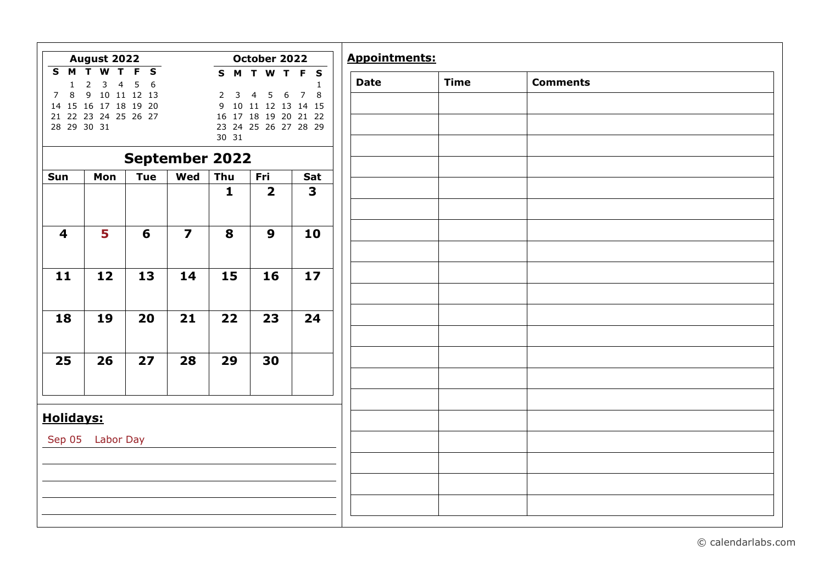|                                                                           | August 2022                                                                                                                                                                                     |                                                  |                         |                          | October 2022                                                          |                                               | <b>Appointments:</b> |             |                 |
|---------------------------------------------------------------------------|-------------------------------------------------------------------------------------------------------------------------------------------------------------------------------------------------|--------------------------------------------------|-------------------------|--------------------------|-----------------------------------------------------------------------|-----------------------------------------------|----------------------|-------------|-----------------|
| $\overline{\mathbf{s}}$<br>$\overline{M}$<br>$\mathbf{1}$<br>8<br>7<br>14 | $\overline{\mathbf{T}}$<br>$\overline{\mathsf{T}}$<br>$\overline{\mathbf{w}}$<br>$\mathsf{3}$<br>$\overline{2}$<br>$\overline{4}$<br>9 10 11 12 13<br>15 16 17 18 19 20<br>21 22 23 24 25 26 27 | F<br>$\overline{\mathbf{s}}$<br>5<br>$6^{\circ}$ |                         | $\overline{2}$<br>3<br>9 | S M T W T<br>5<br>6<br>4<br>10 11 12 13 14 15<br>16 17 18 19 20 21 22 | F<br>$\mathbf{s}$<br>1<br>$\overline{7}$<br>8 | <b>Date</b>          | <b>Time</b> | <b>Comments</b> |
| 28 29 30 31                                                               |                                                                                                                                                                                                 |                                                  |                         | 30 31                    | 23 24 25 26 27 28 29                                                  |                                               |                      |             |                 |
|                                                                           |                                                                                                                                                                                                 | <b>September 2022</b>                            |                         |                          |                                                                       |                                               |                      |             |                 |
| Sun                                                                       | Mon                                                                                                                                                                                             | <b>Tue</b>                                       | Wed                     | Thu                      | Fri                                                                   | Sat                                           |                      |             |                 |
|                                                                           |                                                                                                                                                                                                 |                                                  |                         | $\mathbf{1}$             | $\overline{2}$                                                        | $\overline{\mathbf{3}}$                       |                      |             |                 |
| 4                                                                         | 5                                                                                                                                                                                               | 6                                                | $\overline{\mathbf{z}}$ | 8                        | 9                                                                     | 10                                            |                      |             |                 |
|                                                                           |                                                                                                                                                                                                 |                                                  |                         |                          |                                                                       |                                               |                      |             |                 |
| 11                                                                        | 12                                                                                                                                                                                              | 13                                               | 14                      | 15                       | 16                                                                    | 17                                            |                      |             |                 |
| 18                                                                        | 19                                                                                                                                                                                              | 20                                               | 21                      | 22                       | 23                                                                    | 24                                            |                      |             |                 |
|                                                                           |                                                                                                                                                                                                 |                                                  |                         |                          |                                                                       |                                               |                      |             |                 |
| 25                                                                        | 26                                                                                                                                                                                              | 27                                               | 28                      | 29                       | 30                                                                    |                                               |                      |             |                 |
|                                                                           |                                                                                                                                                                                                 |                                                  |                         |                          |                                                                       |                                               |                      |             |                 |
| <b>Holidays:</b>                                                          |                                                                                                                                                                                                 |                                                  |                         |                          |                                                                       |                                               |                      |             |                 |
| Sep 05                                                                    | <b>Labor Day</b>                                                                                                                                                                                |                                                  |                         |                          |                                                                       |                                               |                      |             |                 |
|                                                                           |                                                                                                                                                                                                 |                                                  |                         |                          |                                                                       |                                               |                      |             |                 |
|                                                                           |                                                                                                                                                                                                 |                                                  |                         |                          |                                                                       |                                               |                      |             |                 |
|                                                                           |                                                                                                                                                                                                 |                                                  |                         |                          |                                                                       |                                               |                      |             |                 |

| © calendarlabs.com |  |
|--------------------|--|
|                    |  |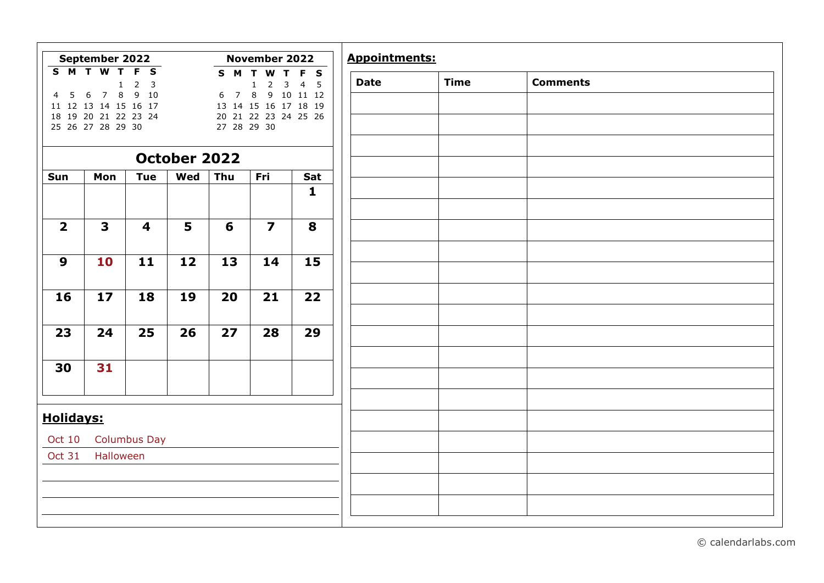|                  | September 2022                                    |                                                                                     |              |                     | November 2022                                       |                            | <b>Appointments:</b> |             |                 |
|------------------|---------------------------------------------------|-------------------------------------------------------------------------------------|--------------|---------------------|-----------------------------------------------------|----------------------------|----------------------|-------------|-----------------|
| S M T W          | $\overline{\mathsf{r}}$<br>$\mathbf{1}$<br>$\bf8$ | $\overline{F}$<br>$\mathbf{s}$<br>$\overline{2}$<br>$\overline{\mathbf{3}}$<br>9 10 |              | S M                 | T<br>W<br>T.<br>3<br>$\mathsf{2}\,$<br>$\mathbf{1}$ | F S<br>$\overline{4}$<br>5 | <b>Date</b>          | <b>Time</b> | <b>Comments</b> |
| 5<br>4           | 6<br>$\overline{7}$<br>11 12 13 14 15 16 17       |                                                                                     |              | $\overline{7}$<br>6 | 8<br>13 14 15 16 17 18 19                           | 9 10 11 12                 |                      |             |                 |
|                  | 18 19 20 21 22 23 24<br>25 26 27 28 29 30         |                                                                                     |              | 27 28 29 30         | 20 21 22 23 24 25 26                                |                            |                      |             |                 |
|                  |                                                   |                                                                                     |              |                     |                                                     |                            |                      |             |                 |
|                  |                                                   |                                                                                     | October 2022 |                     |                                                     |                            |                      |             |                 |
| Sun              | Mon                                               | <b>Tue</b>                                                                          | Wed          | Thu                 | Fri                                                 | Sat                        |                      |             |                 |
|                  |                                                   |                                                                                     |              |                     |                                                     | $\mathbf{1}$               |                      |             |                 |
| $\overline{2}$   | $\overline{\mathbf{3}}$                           | $\overline{\mathbf{4}}$                                                             | 5            | 6                   | $\overline{\mathbf{z}}$                             | 8                          |                      |             |                 |
| $\boldsymbol{9}$ | 10                                                | 11                                                                                  | 12           | 13                  | 14                                                  | 15                         |                      |             |                 |
|                  |                                                   |                                                                                     |              |                     |                                                     |                            |                      |             |                 |
| 16               | 17                                                | 18                                                                                  | 19           | 20                  | 21                                                  | 22                         |                      |             |                 |
|                  |                                                   |                                                                                     |              |                     |                                                     |                            |                      |             |                 |
| 23               | 24                                                | 25                                                                                  | 26           | 27                  | 28                                                  | 29                         |                      |             |                 |
| 30               | 31                                                |                                                                                     |              |                     |                                                     |                            |                      |             |                 |
|                  |                                                   |                                                                                     |              |                     |                                                     |                            |                      |             |                 |
|                  |                                                   |                                                                                     |              |                     |                                                     |                            |                      |             |                 |
| <b>Holidays:</b> |                                                   |                                                                                     |              |                     |                                                     |                            |                      |             |                 |
| Oct 10           |                                                   | <b>Columbus Day</b>                                                                 |              |                     |                                                     |                            |                      |             |                 |
| <b>Oct 31</b>    | Halloween                                         |                                                                                     |              |                     |                                                     |                            |                      |             |                 |
|                  |                                                   |                                                                                     |              |                     |                                                     |                            |                      |             |                 |
|                  |                                                   |                                                                                     |              |                     |                                                     |                            |                      |             |                 |

© calendarlabs.com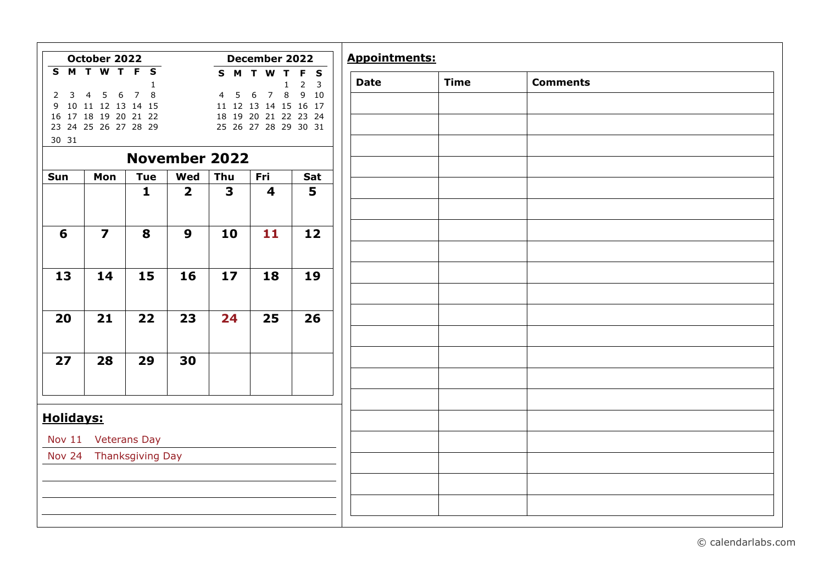|                  | October 2022                                        |                            |                                |                                | December 2022                                                       |                    |
|------------------|-----------------------------------------------------|----------------------------|--------------------------------|--------------------------------|---------------------------------------------------------------------|--------------------|
|                  | SMTWTFS                                             | $\mathbf{1}$               |                                |                                | S M T W T<br>$\mathbf{1}$                                           | F S<br>$2 \quad 3$ |
| $2 \quad 3$      | $5\quad 6$<br>$\overline{4}$<br>9 10 11 12 13 14 15 | 7 8                        |                                | 5<br>$\overline{4}$            | $\,$ 8<br>$6\overline{6}$<br>$\overline{7}$<br>11 12 13 14 15 16 17 | 9 10               |
|                  | 16 17 18 19 20 21 22<br>23 24 25 26 27 28 29        |                            |                                |                                | 18 19 20 21 22 23 24<br>25 26 27 28 29 30 31                        |                    |
| 30 31            |                                                     |                            |                                |                                |                                                                     |                    |
|                  |                                                     |                            | <b>November 2022</b>           |                                |                                                                     |                    |
| Sun              | Mon                                                 | <b>Tue</b><br>$\mathbf{1}$ | Wed<br>$\overline{\mathbf{2}}$ | Thu<br>$\overline{\mathbf{3}}$ | Fri<br>$\overline{\mathbf{4}}$                                      | Sat<br>5           |
|                  |                                                     |                            |                                |                                |                                                                     |                    |
| 6                | $\overline{\mathbf{z}}$                             | 8                          | 9                              | 10                             | 11                                                                  | 12                 |
|                  |                                                     |                            |                                |                                |                                                                     |                    |
| 13               | 14                                                  | 15                         | 16                             | 17                             | 18                                                                  | 19                 |
|                  |                                                     |                            |                                |                                |                                                                     |                    |
| 20               | 21                                                  | 22                         | 23                             | 24                             | 25                                                                  | 26                 |
|                  |                                                     |                            |                                |                                |                                                                     |                    |
| 27               | 28                                                  | 29                         | 30                             |                                |                                                                     |                    |
|                  |                                                     |                            |                                |                                |                                                                     |                    |
|                  |                                                     |                            |                                |                                |                                                                     |                    |
| <b>Holidays:</b> |                                                     |                            |                                |                                |                                                                     |                    |
|                  | Nov 11 Veterans Day                                 |                            |                                |                                |                                                                     |                    |
|                  | Nov 24 Thanksgiving Day                             |                            |                                |                                |                                                                     |                    |
|                  |                                                     |                            |                                |                                |                                                                     |                    |
|                  |                                                     |                            |                                |                                |                                                                     |                    |